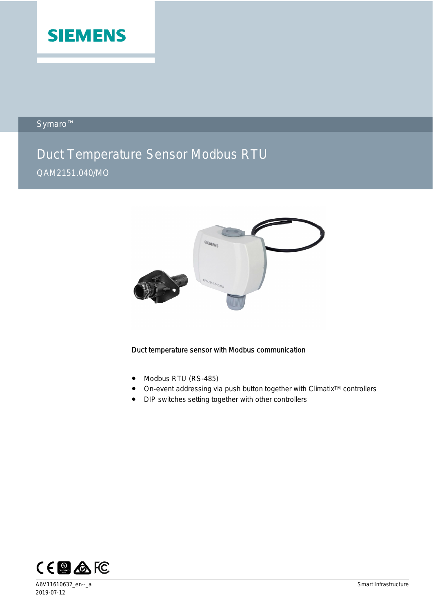

Symaro™

# Duct Temperature Sensor Modbus RTU

# QAM2151.040/MO



#### Duct temperature sensor with Modbus communication

- Modbus RTU (RS-485)
- On-event addressing via push button together with Climatix<sup>™</sup> controllers
- DIP switches setting together with other controllers

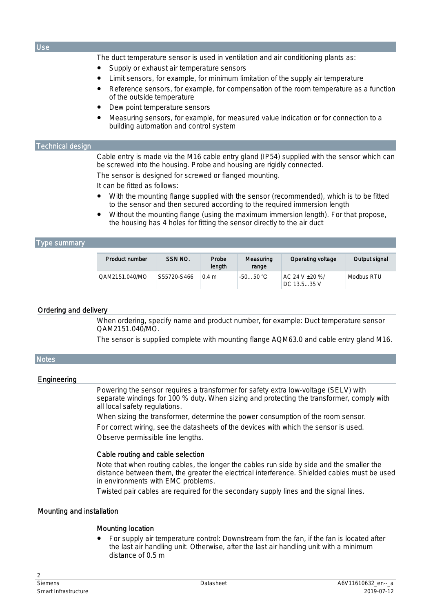The duct temperature sensor is used in ventilation and air conditioning plants as:

- Supply or exhaust air temperature sensors
- Limit sensors, for example, for minimum limitation of the supply air temperature
- Reference sensors, for example, for compensation of the room temperature as a function of the outside temperature
- Dew point temperature sensors
- Measuring sensors, for example, for measured value indication or for connection to a building automation and control system

#### Technical design

Cable entry is made via the M16 cable entry gland (IP54) supplied with the sensor which can be screwed into the housing. Probe and housing are rigidly connected.

The sensor is designed for screwed or flanged mounting.

It can be fitted as follows:

- With the mounting flange supplied with the sensor (recommended), which is to be fitted to the sensor and then secured according to the required immersion length
- Without the mounting flange (using the maximum immersion length). For that propose, the housing has 4 holes for fitting the sensor directly to the air duct

#### Type summary

| Product number | SSN NO.     | Probe<br>length | Measuring<br>range | Operating voltage                | Output signal |
|----------------|-------------|-----------------|--------------------|----------------------------------|---------------|
| OAM2151.040/MO | S55720-S466 | 0.4 m           | $-5050$ °C         | $AC$ 24 V +20 %/<br>DC 13.5.35 V | Modbus RTU    |

#### Ordering and delivery

When ordering, specify name and product number, for example: Duct temperature sensor QAM2151.040/MO.

The sensor is supplied complete with mounting flange AQM63.0 and cable entry gland M16.

#### **Notes**

#### **Engineering**

Powering the sensor requires a transformer for safety extra low-voltage (SELV) with separate windings for 100 % duty. When sizing and protecting the transformer, comply with all local safety regulations.

When sizing the transformer, determine the power consumption of the room sensor. For correct wiring, see the datasheets of the devices with which the sensor is used. Observe permissible line lengths.

#### Cable routing and cable selection

Note that when routing cables, the longer the cables run side by side and the smaller the distance between them, the greater the electrical interference. Shielded cables must be used in environments with EMC problems.

Twisted pair cables are required for the secondary supply lines and the signal lines.

#### Mounting and installation

#### Mounting location

For supply air temperature control: Downstream from the fan, if the fan is located after the last air handling unit. Otherwise, after the last air handling unit with a minimum distance of 0.5 m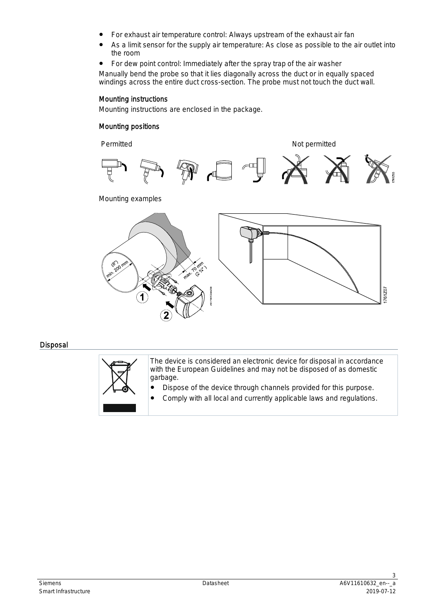- For exhaust air temperature control: Always upstream of the exhaust air fan
- As a limit sensor for the supply air temperature: As close as possible to the air outlet into the room
- For dew point control: Immediately after the spray trap of the air washer

Manually bend the probe so that it lies diagonally across the duct or in equally spaced windings across the entire duct cross-section. The probe must not touch the duct wall.

#### Mounting instructions

Mounting instructions are enclosed in the package.

#### Mounting positions

Permitted Not permitted



Mounting examples



#### Disposal

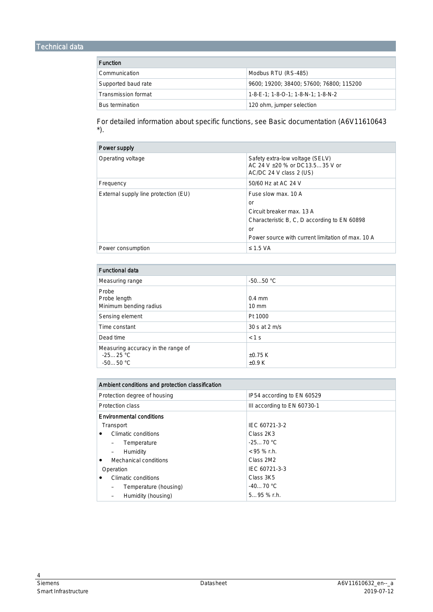### Technical data

| <b>Function</b>     |                                          |  |
|---------------------|------------------------------------------|--|
| Communication       | Modbus RTU (RS-485)                      |  |
| Supported baud rate | 9600; 19200; 38400; 57600; 76800; 115200 |  |
| Transmission format | 1-8-E-1: 1-8-O-1: 1-8-N-1: 1-8-N-2       |  |
| Bus termination     | 120 ohm, jumper selection                |  |

For detailed information about specific functions, see Basic documentation (A6V11610643 \*).

| Power supply                         |                                                                                              |  |
|--------------------------------------|----------------------------------------------------------------------------------------------|--|
| Operating voltage                    | Safety extra-low voltage (SELV)<br>AC 24 V +20 % or DC13.535 V or<br>AC/DC 24 V class 2 (US) |  |
| Frequency                            | 50/60 Hz at AC 24 V                                                                          |  |
| External supply line protection (EU) | Fuse slow max, 10 A                                                                          |  |
|                                      | or                                                                                           |  |
|                                      | Circuit breaker max. 13 A                                                                    |  |
|                                      | Characteristic B, C, D according to EN 60898                                                 |  |
|                                      | or                                                                                           |  |
|                                      | Power source with current limitation of max. 10 A                                            |  |
| Power consumption                    | $\leq$ 1.5 VA                                                                                |  |

| <b>Functional data</b>                                         |                             |  |  |
|----------------------------------------------------------------|-----------------------------|--|--|
| Measuring range                                                | $-5050 °C$                  |  |  |
| Probe<br>Probe length<br>Minimum bending radius                | $0.4$ mm<br>$10 \text{ mm}$ |  |  |
| Sensing element                                                | Pt 1000                     |  |  |
| Time constant                                                  | 30 s at 2 m/s               |  |  |
| Dead time                                                      | $< 1$ S                     |  |  |
| Measuring accuracy in the range of<br>$-2525$ °C<br>$-5050 °C$ | $+0.75K$<br>$\pm 0.9$ K     |  |  |

| Ambient conditions and protection classification |                             |  |
|--------------------------------------------------|-----------------------------|--|
| Protection degree of housing                     | IP54 according to EN 60529  |  |
| Protection class                                 | III according to EN 60730-1 |  |
| <b>Environmental conditions</b>                  |                             |  |
| Transport                                        | IEC 60721-3-2               |  |
| Climatic conditions                              | Class 2K3                   |  |
| Temperature                                      | $-2570 °C$                  |  |
| Humidity                                         | $<$ 95 % r.h.               |  |
| Mechanical conditions<br>٠                       | Class 2M2                   |  |
| Operation                                        | IEC 60721-3-3               |  |
| Climatic conditions                              | Class 3K5                   |  |
| Temperature (housing)                            | $-4070 °C$                  |  |
| Humidity (housing)                               | $595%$ r.h.                 |  |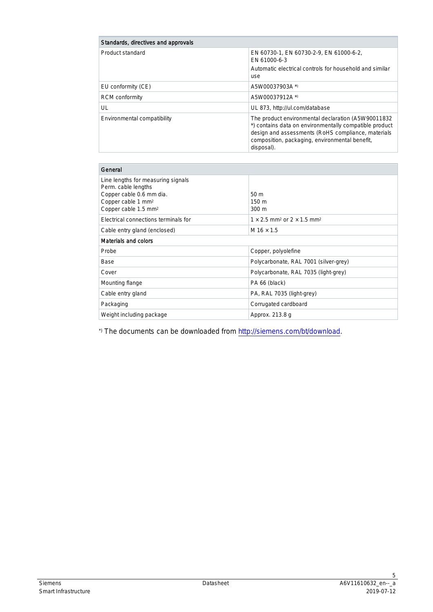| Standards, directives and approvals |                                                                                                                                                                                                                                     |
|-------------------------------------|-------------------------------------------------------------------------------------------------------------------------------------------------------------------------------------------------------------------------------------|
| Product standard                    | EN 60730-1, EN 60730-2-9, EN 61000-6-2,<br>EN 61000-6-3<br>Automatic electrical controls for household and similar<br>use                                                                                                           |
| EU conformity (CE)                  | A5W00037903A *)                                                                                                                                                                                                                     |
| <b>RCM</b> conformity               | A5W00037912A *)                                                                                                                                                                                                                     |
| UL                                  | UL 873, http://ul.com/database                                                                                                                                                                                                      |
| Environmental compatibility         | The product environmental declaration (A5W90011832)<br>*) contains data on environmentally compatible product<br>design and assessments (RoHS compliance, materials<br>composition, packaging, environmental benefit,<br>disposal). |

| General                                                                                                                                                     |                                                                  |  |
|-------------------------------------------------------------------------------------------------------------------------------------------------------------|------------------------------------------------------------------|--|
| Line lengths for measuring signals<br>Perm. cable lengths<br>Copper cable 0.6 mm dia.<br>Copper cable 1 mm <sup>2</sup><br>Copper cable 1.5 mm <sup>2</sup> | 50 <sub>m</sub><br>150 <sub>m</sub><br>300 <sub>m</sub>          |  |
| Electrical connections terminals for                                                                                                                        | $1 \times 2.5$ mm <sup>2</sup> or $2 \times 1.5$ mm <sup>2</sup> |  |
| Cable entry gland (enclosed)                                                                                                                                | $M$ 16 $\times$ 1.5                                              |  |
| Materials and colors                                                                                                                                        |                                                                  |  |
| Probe                                                                                                                                                       | Copper, polyolefine                                              |  |
| Base                                                                                                                                                        | Polycarbonate, RAL 7001 (silver-grey)                            |  |
| Cover                                                                                                                                                       | Polycarbonate, RAL 7035 (light-grey)                             |  |
| Mounting flange                                                                                                                                             | PA 66 (black)                                                    |  |
| Cable entry gland                                                                                                                                           | PA, RAL 7035 (light-grey)                                        |  |
| Packaging                                                                                                                                                   | Corrugated cardboard                                             |  |
| Weight including package                                                                                                                                    | Approx. 213.8 g                                                  |  |

\*) The documents can be downloaded from <http://siemens.com/bt/download>.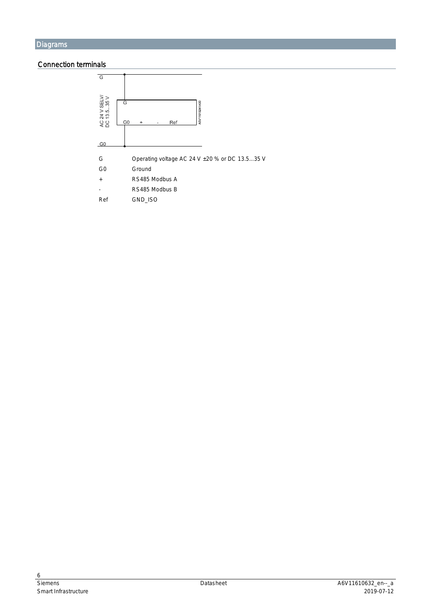#### Connection terminals

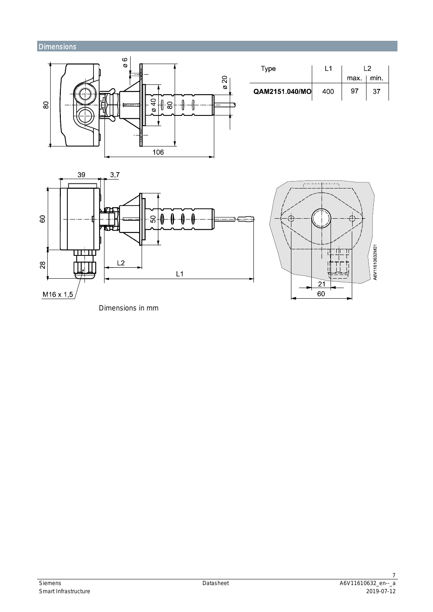## **Dimensions**



| Type           | l 1 | l 2          |    |  |
|----------------|-----|--------------|----|--|
|                |     | $max$   min. |    |  |
| QAM2151.040/MO | 400 | 97           | 37 |  |





Dimensions in mm